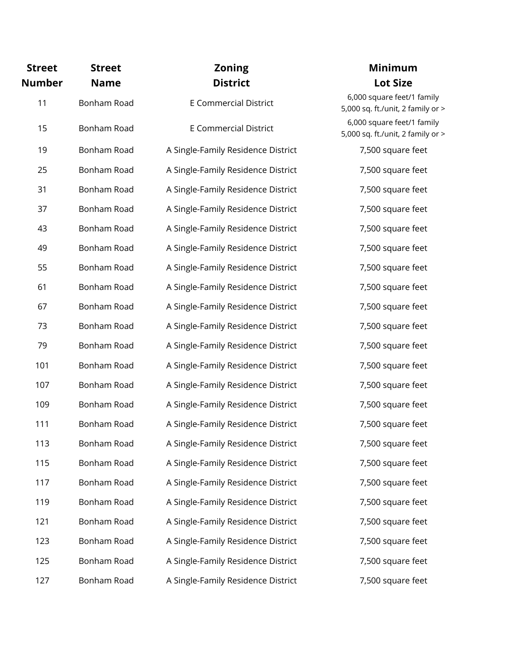| <b>Street</b><br>Number | <b>Street</b><br><b>Name</b> | <b>Zoning</b><br><b>District</b>   |  |
|-------------------------|------------------------------|------------------------------------|--|
| 11                      | Bonham Road                  | <b>E Commercial District</b>       |  |
| 15                      | Bonham Road                  | <b>E Commercial District</b>       |  |
| 19                      | Bonham Road                  | A Single-Family Residence District |  |
| 25                      | Bonham Road                  | A Single-Family Residence District |  |
| 31                      | Bonham Road                  | A Single-Family Residence District |  |
| 37                      | Bonham Road                  | A Single-Family Residence District |  |
| 43                      | Bonham Road                  | A Single-Family Residence District |  |
| 49                      | Bonham Road                  | A Single-Family Residence District |  |
| 55                      | Bonham Road                  | A Single-Family Residence District |  |
| 61                      | Bonham Road                  | A Single-Family Residence District |  |
| 67                      | Bonham Road                  | A Single-Family Residence District |  |
| 73                      | Bonham Road                  | A Single-Family Residence District |  |
| 79                      | Bonham Road                  | A Single-Family Residence District |  |
| 101                     | Bonham Road                  | A Single-Family Residence District |  |
| 107                     | Bonham Road                  | A Single-Family Residence District |  |
| 109                     | Bonham Road                  | A Single-Family Residence District |  |
| 111                     | Bonham Road                  | A Single-Family Residence District |  |
| 113                     | Bonham Road                  | A Single-Family Residence District |  |
| 115                     | Bonham Road                  | A Single-Family Residence District |  |
| 117                     | Bonham Road                  | A Single-Family Residence District |  |
| 119                     | Bonham Road                  | A Single-Family Residence District |  |
| 121                     | Bonham Road                  | A Single-Family Residence District |  |
| 123                     | Bonham Road                  | A Single-Family Residence District |  |
| 125                     | Bonham Road                  | A Single-Family Residence District |  |
| 127                     | Bonham Road                  | A Single-Family Residence District |  |

## **Minimum Lot Size**

6,000 square feet/1 family 5,000 sq. ft./unit, 2 family or > 6,000 square feet/1 family 5,000 sq. ft./unit, 2 family or > 7,500 square feet 7,500 square feet 7,500 square feet 7,500 square feet 7,500 square feet 7,500 square feet 7,500 square feet 7,500 square feet 7,500 square feet 7,500 square feet 7,500 square feet 7,500 square feet 7,500 square feet 7,500 square feet 7,500 square feet 7,500 square feet 7,500 square feet 7,500 square feet 7,500 square feet 7,500 square feet 7,500 square feet 7,500 square feet 7,500 square feet